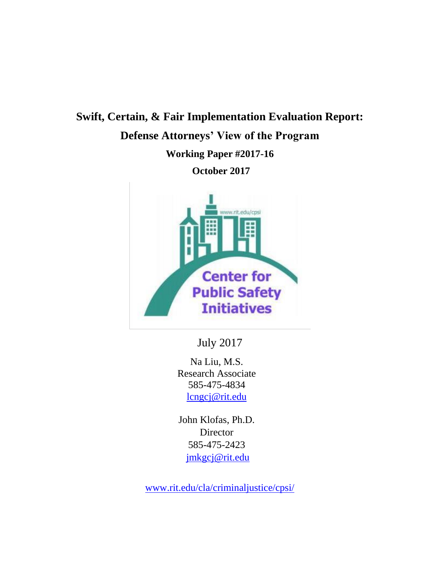# **Swift, Certain, & Fair Implementation Evaluation Report: Defense Attorneys' View of the Program Working Paper #2017-16**

**October 2017**



July 2017

Na Liu, M.S. Research Associate 585-475-4834 [lcngcj@rit.edu](mailto:lcngcj@rit.edu)

John Klofas, Ph.D. **Director** 585-475-2423 [jmkgcj@rit.edu](mailto:jmkgcj@rit.edu)

[www.rit.edu/cla/criminaljustice/cpsi/](http://www.rit.edu/cla/criminaljustice/cpsi/)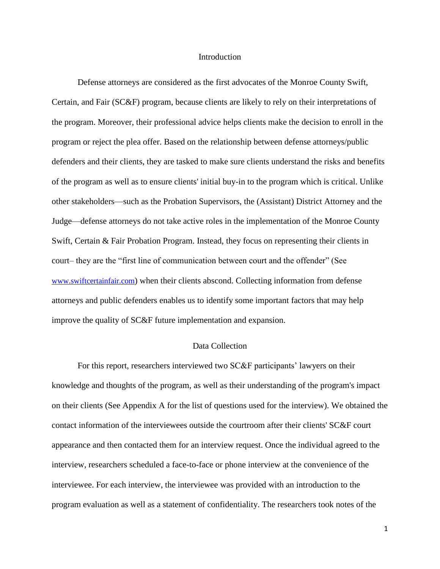#### Introduction

Defense attorneys are considered as the first advocates of the Monroe County Swift, Certain, and Fair (SC&F) program, because clients are likely to rely on their interpretations of the program. Moreover, their professional advice helps clients make the decision to enroll in the program or reject the plea offer. Based on the relationship between defense attorneys/public defenders and their clients, they are tasked to make sure clients understand the risks and benefits of the program as well as to ensure clients' initial buy-in to the program which is critical. Unlike other stakeholders—such as the Probation Supervisors, the (Assistant) District Attorney and the Judge—defense attorneys do not take active roles in the implementation of the Monroe County Swift, Certain & Fair Probation Program. Instead, they focus on representing their clients in court– they are the "first line of communication between court and the offender" (See [www.swiftcertainfair.com](http://www.swiftcertainfair.com/)) when their clients abscond. Collecting information from defense attorneys and public defenders enables us to identify some important factors that may help improve the quality of SC&F future implementation and expansion.

## Data Collection

For this report, researchers interviewed two SC&F participants' lawyers on their knowledge and thoughts of the program, as well as their understanding of the program's impact on their clients (See Appendix A for the list of questions used for the interview). We obtained the contact information of the interviewees outside the courtroom after their clients' SC&F court appearance and then contacted them for an interview request. Once the individual agreed to the interview, researchers scheduled a face-to-face or phone interview at the convenience of the interviewee. For each interview, the interviewee was provided with an introduction to the program evaluation as well as a statement of confidentiality. The researchers took notes of the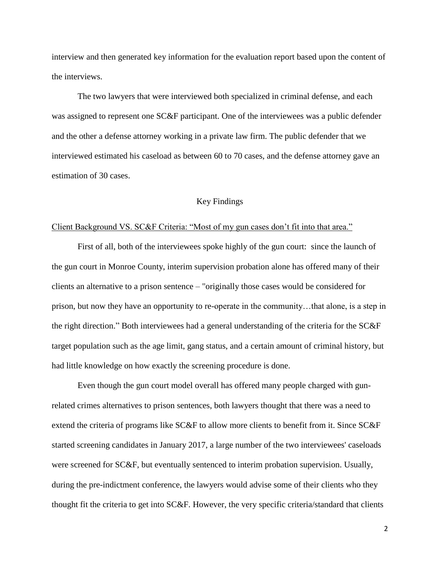interview and then generated key information for the evaluation report based upon the content of the interviews.

The two lawyers that were interviewed both specialized in criminal defense, and each was assigned to represent one SC&F participant. One of the interviewees was a public defender and the other a defense attorney working in a private law firm. The public defender that we interviewed estimated his caseload as between 60 to 70 cases, and the defense attorney gave an estimation of 30 cases.

# Key Findings

#### Client Background VS. SC&F Criteria: "Most of my gun cases don't fit into that area."

First of all, both of the interviewees spoke highly of the gun court: since the launch of the gun court in Monroe County, interim supervision probation alone has offered many of their clients an alternative to a prison sentence – "originally those cases would be considered for prison, but now they have an opportunity to re-operate in the community…that alone, is a step in the right direction." Both interviewees had a general understanding of the criteria for the SC&F target population such as the age limit, gang status, and a certain amount of criminal history, but had little knowledge on how exactly the screening procedure is done.

Even though the gun court model overall has offered many people charged with gunrelated crimes alternatives to prison sentences, both lawyers thought that there was a need to extend the criteria of programs like SC&F to allow more clients to benefit from it. Since SC&F started screening candidates in January 2017, a large number of the two interviewees' caseloads were screened for SC&F, but eventually sentenced to interim probation supervision. Usually, during the pre-indictment conference, the lawyers would advise some of their clients who they thought fit the criteria to get into SC&F. However, the very specific criteria/standard that clients

2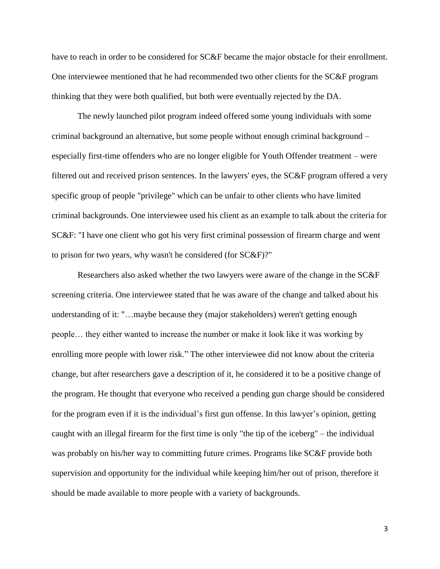have to reach in order to be considered for  $SC\&F$  became the major obstacle for their enrollment. One interviewee mentioned that he had recommended two other clients for the SC&F program thinking that they were both qualified, but both were eventually rejected by the DA.

The newly launched pilot program indeed offered some young individuals with some criminal background an alternative, but some people without enough criminal background – especially first-time offenders who are no longer eligible for Youth Offender treatment – were filtered out and received prison sentences. In the lawyers' eyes, the SC&F program offered a very specific group of people "privilege" which can be unfair to other clients who have limited criminal backgrounds. One interviewee used his client as an example to talk about the criteria for SC&F: "I have one client who got his very first criminal possession of firearm charge and went to prison for two years, why wasn't he considered (for SC&F)?"

Researchers also asked whether the two lawyers were aware of the change in the SC&F screening criteria. One interviewee stated that he was aware of the change and talked about his understanding of it: "…maybe because they (major stakeholders) weren't getting enough people… they either wanted to increase the number or make it look like it was working by enrolling more people with lower risk." The other interviewee did not know about the criteria change, but after researchers gave a description of it, he considered it to be a positive change of the program. He thought that everyone who received a pending gun charge should be considered for the program even if it is the individual's first gun offense. In this lawyer's opinion, getting caught with an illegal firearm for the first time is only "the tip of the iceberg" – the individual was probably on his/her way to committing future crimes. Programs like SC&F provide both supervision and opportunity for the individual while keeping him/her out of prison, therefore it should be made available to more people with a variety of backgrounds.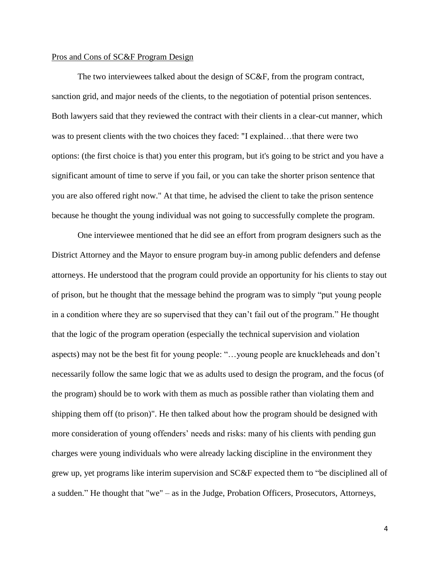## Pros and Cons of SC&F Program Design

The two interviewees talked about the design of SC&F, from the program contract, sanction grid, and major needs of the clients, to the negotiation of potential prison sentences. Both lawyers said that they reviewed the contract with their clients in a clear-cut manner, which was to present clients with the two choices they faced: "I explained…that there were two options: (the first choice is that) you enter this program, but it's going to be strict and you have a significant amount of time to serve if you fail, or you can take the shorter prison sentence that you are also offered right now." At that time, he advised the client to take the prison sentence because he thought the young individual was not going to successfully complete the program.

One interviewee mentioned that he did see an effort from program designers such as the District Attorney and the Mayor to ensure program buy-in among public defenders and defense attorneys. He understood that the program could provide an opportunity for his clients to stay out of prison, but he thought that the message behind the program was to simply "put young people in a condition where they are so supervised that they can't fail out of the program." He thought that the logic of the program operation (especially the technical supervision and violation aspects) may not be the best fit for young people: "…young people are knuckleheads and don't necessarily follow the same logic that we as adults used to design the program, and the focus (of the program) should be to work with them as much as possible rather than violating them and shipping them off (to prison)". He then talked about how the program should be designed with more consideration of young offenders' needs and risks: many of his clients with pending gun charges were young individuals who were already lacking discipline in the environment they grew up, yet programs like interim supervision and SC&F expected them to "be disciplined all of a sudden." He thought that "we" – as in the Judge, Probation Officers, Prosecutors, Attorneys,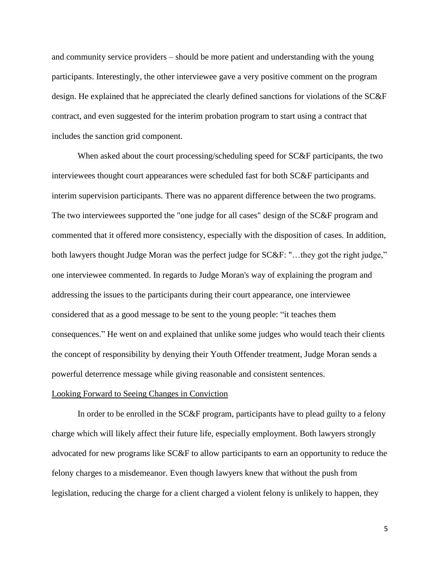and community service providers – should be more patient and understanding with the young participants. Interestingly, the other interviewee gave a very positive comment on the program design. He explained that he appreciated the clearly defined sanctions for violations of the SC&F contract, and even suggested for the interim probation program to start using a contract that includes the sanction grid component.

When asked about the court processing/scheduling speed for  $SC\&F$  participants, the two interviewees thought court appearances were scheduled fast for both SC&F participants and interim supervision participants. There was no apparent difference between the two programs. The two interviewees supported the "one judge for all cases" design of the SC&F program and commented that it offered more consistency, especially with the disposition of cases. In addition, both lawyers thought Judge Moran was the perfect judge for SC&F: "…they got the right judge," one interviewee commented. In regards to Judge Moran's way of explaining the program and addressing the issues to the participants during their court appearance, one interviewee considered that as a good message to be sent to the young people: "it teaches them consequences." He went on and explained that unlike some judges who would teach their clients the concept of responsibility by denying their Youth Offender treatment, Judge Moran sends a powerful deterrence message while giving reasonable and consistent sentences.

#### Looking Forward to Seeing Changes in Conviction

In order to be enrolled in the SC&F program, participants have to plead guilty to a felony charge which will likely affect their future life, especially employment. Both lawyers strongly advocated for new programs like SC&F to allow participants to earn an opportunity to reduce the felony charges to a misdemeanor. Even though lawyers knew that without the push from legislation, reducing the charge for a client charged a violent felony is unlikely to happen, they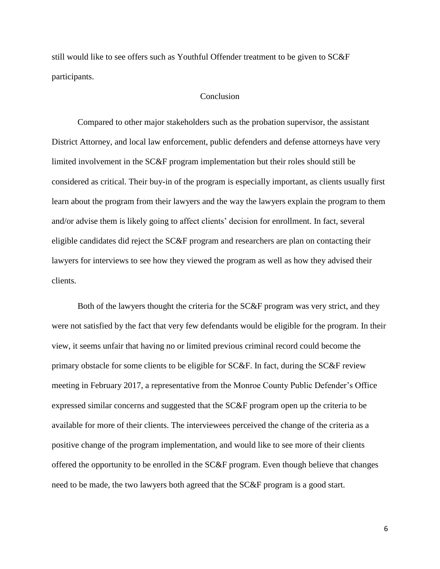still would like to see offers such as Youthful Offender treatment to be given to SC&F participants.

# Conclusion

Compared to other major stakeholders such as the probation supervisor, the assistant District Attorney, and local law enforcement, public defenders and defense attorneys have very limited involvement in the SC&F program implementation but their roles should still be considered as critical. Their buy-in of the program is especially important, as clients usually first learn about the program from their lawyers and the way the lawyers explain the program to them and/or advise them is likely going to affect clients' decision for enrollment. In fact, several eligible candidates did reject the SC&F program and researchers are plan on contacting their lawyers for interviews to see how they viewed the program as well as how they advised their clients.

Both of the lawyers thought the criteria for the SC&F program was very strict, and they were not satisfied by the fact that very few defendants would be eligible for the program. In their view, it seems unfair that having no or limited previous criminal record could become the primary obstacle for some clients to be eligible for SC&F. In fact, during the SC&F review meeting in February 2017, a representative from the Monroe County Public Defender's Office expressed similar concerns and suggested that the SC&F program open up the criteria to be available for more of their clients. The interviewees perceived the change of the criteria as a positive change of the program implementation, and would like to see more of their clients offered the opportunity to be enrolled in the SC&F program. Even though believe that changes need to be made, the two lawyers both agreed that the SC&F program is a good start.

6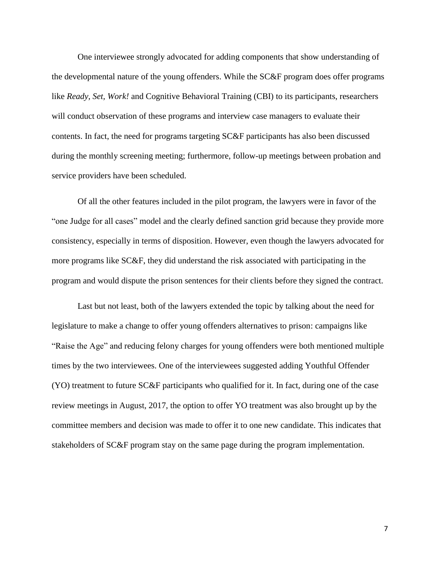One interviewee strongly advocated for adding components that show understanding of the developmental nature of the young offenders. While the SC&F program does offer programs like *Ready, Set, Work!* and Cognitive Behavioral Training (CBI) to its participants, researchers will conduct observation of these programs and interview case managers to evaluate their contents. In fact, the need for programs targeting SC&F participants has also been discussed during the monthly screening meeting; furthermore, follow-up meetings between probation and service providers have been scheduled.

Of all the other features included in the pilot program, the lawyers were in favor of the "one Judge for all cases" model and the clearly defined sanction grid because they provide more consistency, especially in terms of disposition. However, even though the lawyers advocated for more programs like SC&F, they did understand the risk associated with participating in the program and would dispute the prison sentences for their clients before they signed the contract.

Last but not least, both of the lawyers extended the topic by talking about the need for legislature to make a change to offer young offenders alternatives to prison: campaigns like "Raise the Age" and reducing felony charges for young offenders were both mentioned multiple times by the two interviewees. One of the interviewees suggested adding Youthful Offender (YO) treatment to future SC&F participants who qualified for it. In fact, during one of the case review meetings in August, 2017, the option to offer YO treatment was also brought up by the committee members and decision was made to offer it to one new candidate. This indicates that stakeholders of SC&F program stay on the same page during the program implementation.